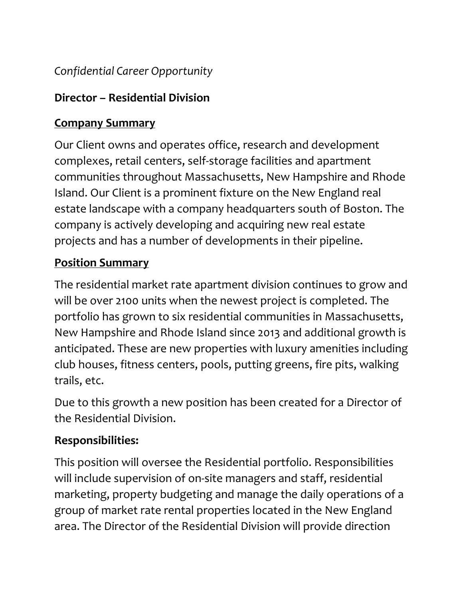### *Confidential Career Opportunity*

### **Director – Residential Division**

# **Company Summary**

Our Client owns and operates office, research and development complexes, retail centers, self-storage facilities and apartment communities throughout Massachusetts, New Hampshire and Rhode Island. Our Client is a prominent fixture on the New England real estate landscape with a company headquarters south of Boston. The company is actively developing and acquiring new real estate projects and has a number of developments in their pipeline.

# **Position Summary**

The residential market rate apartment division continues to grow and will be over 2100 units when the newest project is completed. The portfolio has grown to six residential communities in Massachusetts, New Hampshire and Rhode Island since 2013 and additional growth is anticipated. These are new properties with luxury amenities including club houses, fitness centers, pools, putting greens, fire pits, walking trails, etc.

Due to this growth a new position has been created for a Director of the Residential Division.

### **Responsibilities:**

This position will oversee the Residential portfolio. Responsibilities will include supervision of on-site managers and staff, residential marketing, property budgeting and manage the daily operations of a group of market rate rental properties located in the New England area. The Director of the Residential Division will provide direction